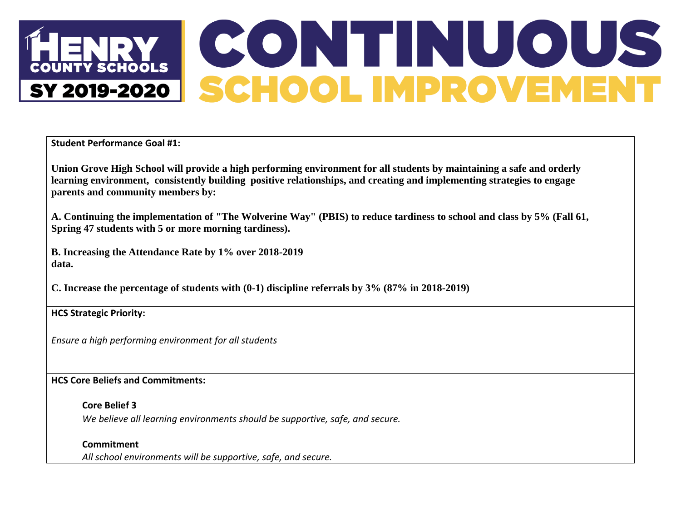## **CONTINUOUS**<br>SCHOOL IMPROVEMENT **NTY SCHOOLS** SY 2019-2020

**Student Performance Goal #1:**

**Union Grove High School will provide a high performing environment for all students by maintaining a safe and orderly learning environment, consistently building positive relationships, and creating and implementing strategies to engage parents and community members by:**

**A. Continuing the implementation of "The Wolverine Way" (PBIS) to reduce tardiness to school and class by 5% (Fall 61, Spring 47 students with 5 or more morning tardiness).** 

**B. Increasing the Attendance Rate by 1% over 2018-2019 data.** 

**C. Increase the percentage of students with (0-1) discipline referrals by 3% (87% in 2018-2019)**

**HCS Strategic Priority:**

*Ensure a high performing environment for all students*

#### **HCS Core Beliefs and Commitments:**

**Core Belief 3**

*We believe all learning environments should be supportive, safe, and secure.*

#### **Commitment**

*All school environments will be supportive, safe, and secure.*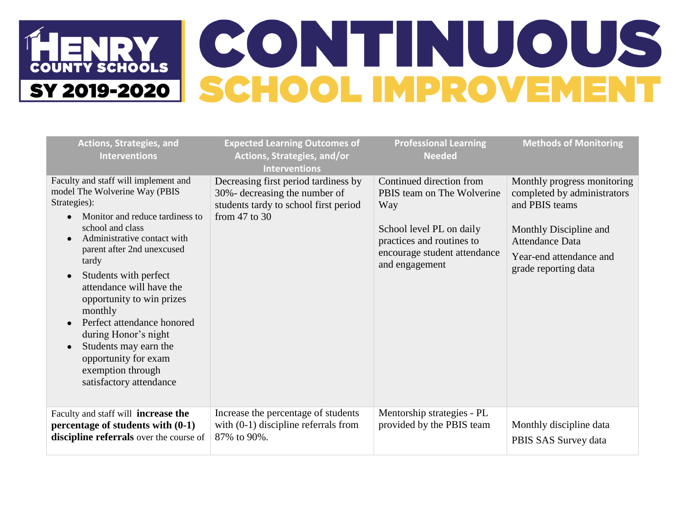| <b>Actions, Strategies, and</b><br><b>Interventions</b>                                                                                                                                                                                                                                                                                                                                                                                                                                                                     | <b>Expected Learning Outcomes of</b><br>Actions, Strategies, and/or<br><b>Interventions</b>                                         | <b>Professional Learning</b><br><b>Needed</b>                                                                                                                            | <b>Methods of Monitoring</b>                                                                                                                                                        |
|-----------------------------------------------------------------------------------------------------------------------------------------------------------------------------------------------------------------------------------------------------------------------------------------------------------------------------------------------------------------------------------------------------------------------------------------------------------------------------------------------------------------------------|-------------------------------------------------------------------------------------------------------------------------------------|--------------------------------------------------------------------------------------------------------------------------------------------------------------------------|-------------------------------------------------------------------------------------------------------------------------------------------------------------------------------------|
| Faculty and staff will implement and<br>model The Wolverine Way (PBIS<br>Strategies):<br>Monitor and reduce tardiness to<br>$\bullet$<br>school and class<br>Administrative contact with<br>$\epsilon$<br>parent after 2nd unexcused<br>tardy<br>Students with perfect<br>$\bullet$<br>attendance will have the<br>opportunity to win prizes<br>monthly<br>Perfect attendance honored<br>during Honor's night<br>Students may earn the<br>$\bullet$<br>opportunity for exam<br>exemption through<br>satisfactory attendance | Decreasing first period tardiness by<br>30%- decreasing the number of<br>students tardy to school first period<br>from $47$ to $30$ | Continued direction from<br>PBIS team on The Wolverine<br>Way<br>School level PL on daily<br>practices and routines to<br>encourage student attendance<br>and engagement | Monthly progress monitoring<br>completed by administrators<br>and PBIS teams<br>Monthly Discipline and<br><b>Attendance Data</b><br>Year-end attendance and<br>grade reporting data |
| Faculty and staff will <b>increase the</b><br>percentage of students with (0-1)<br>discipline referrals over the course of                                                                                                                                                                                                                                                                                                                                                                                                  | Increase the percentage of students<br>with $(0-1)$ discipline referrals from<br>87% to 90%.                                        | Mentorship strategies - PL<br>provided by the PBIS team                                                                                                                  | Monthly discipline data<br>PBIS SAS Survey data                                                                                                                                     |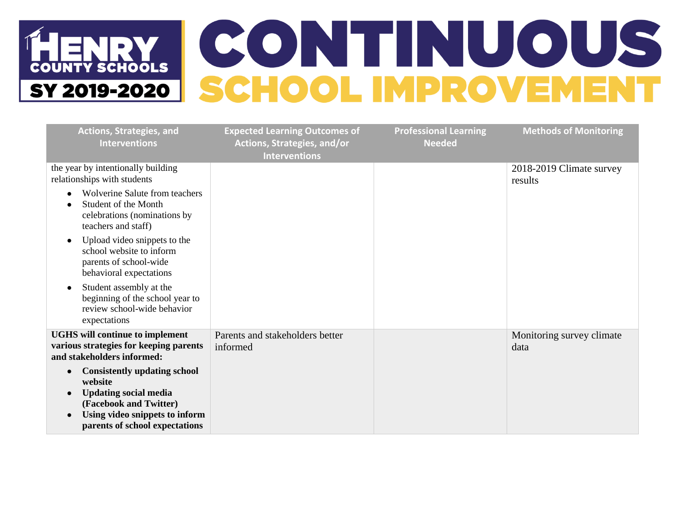| <b>Actions, Strategies, and</b><br><b>Interventions</b>                                                                                                                                   | <b>Expected Learning Outcomes of</b><br>Actions, Strategies, and/or<br><b>Interventions</b> | <b>Professional Learning</b><br><b>Needed</b> | <b>Methods of Monitoring</b>        |
|-------------------------------------------------------------------------------------------------------------------------------------------------------------------------------------------|---------------------------------------------------------------------------------------------|-----------------------------------------------|-------------------------------------|
| the year by intentionally building<br>relationships with students                                                                                                                         |                                                                                             |                                               | 2018-2019 Climate survey<br>results |
| Wolverine Salute from teachers<br>Student of the Month<br>celebrations (nominations by<br>teachers and staff)                                                                             |                                                                                             |                                               |                                     |
| Upload video snippets to the<br>school website to inform<br>parents of school-wide<br>behavioral expectations                                                                             |                                                                                             |                                               |                                     |
| Student assembly at the<br>beginning of the school year to<br>review school-wide behavior<br>expectations                                                                                 |                                                                                             |                                               |                                     |
| <b>UGHS</b> will continue to implement<br>various strategies for keeping parents<br>and stakeholders informed:                                                                            | Parents and stakeholders better<br>informed                                                 |                                               | Monitoring survey climate<br>data   |
| <b>Consistently updating school</b><br>website<br><b>Updating social media</b><br>$\bullet$<br>(Facebook and Twitter)<br>Using video snippets to inform<br>parents of school expectations |                                                                                             |                                               |                                     |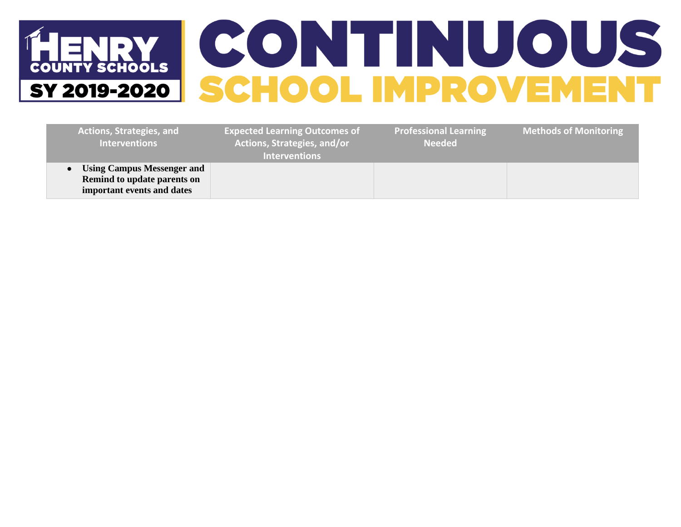## HENRY CONTINUOUS

| <b>Actions, Strategies, and</b><br><b>Interventions</b>                                        | <b>Expected Learning Outcomes of</b><br>Actions, Strategies, and/or<br><b>Interventions</b> | <b>Professional Learning</b><br><b>Needed</b> | <b>Methods of Monitoring</b> |
|------------------------------------------------------------------------------------------------|---------------------------------------------------------------------------------------------|-----------------------------------------------|------------------------------|
| <b>Using Campus Messenger and</b><br>Remind to update parents on<br>important events and dates |                                                                                             |                                               |                              |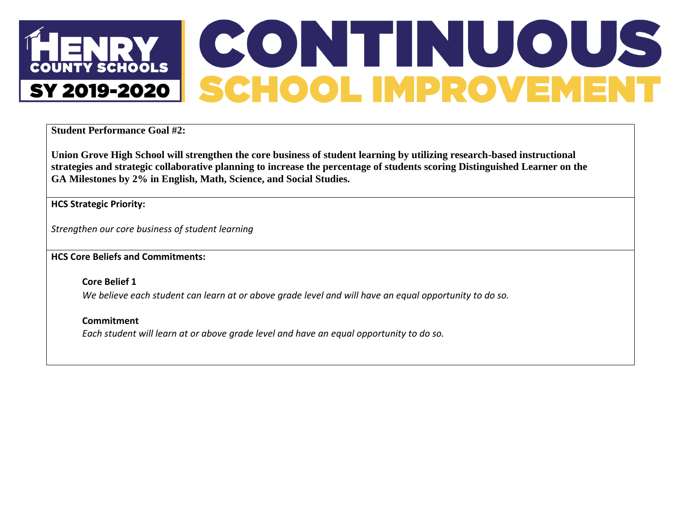## **CONTINUOUS**<br>SCHOOL IMPROVEMENT **NTY SCHOOLS** SY 2019-2020

**Student Performance Goal #2:**

**Union Grove High School will strengthen the core business of student learning by utilizing research-based instructional strategies and strategic collaborative planning to increase the percentage of students scoring Distinguished Learner on the GA Milestones by 2% in English, Math, Science, and Social Studies.**

**HCS Strategic Priority:**

*Strengthen our core business of student learning*

**HCS Core Beliefs and Commitments:**

**Core Belief 1** *We believe each student can learn at or above grade level and will have an equal opportunity to do so.*

**Commitment** *Each student will learn at or above grade level and have an equal opportunity to do so.*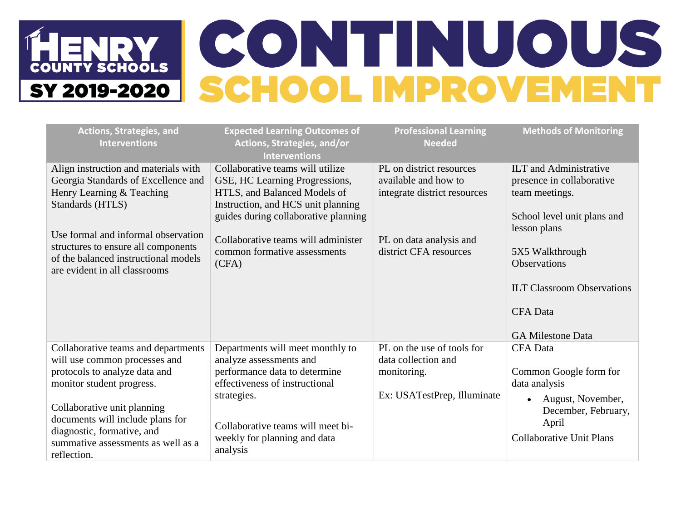| <b>Actions, Strategies, and</b><br><b>Interventions</b>                                                                                                                                                                                                                                  | <b>Expected Learning Outcomes of</b><br>Actions, Strategies, and/or<br><b>Interventions</b>                                                                                                                                    | <b>Professional Learning</b><br><b>Needed</b>                                                   | <b>Methods of Monitoring</b>                                                                                                                                    |
|------------------------------------------------------------------------------------------------------------------------------------------------------------------------------------------------------------------------------------------------------------------------------------------|--------------------------------------------------------------------------------------------------------------------------------------------------------------------------------------------------------------------------------|-------------------------------------------------------------------------------------------------|-----------------------------------------------------------------------------------------------------------------------------------------------------------------|
| Align instruction and materials with<br>Georgia Standards of Excellence and<br>Henry Learning & Teaching<br>Standards (HTLS)                                                                                                                                                             | Collaborative teams will utilize<br>GSE, HC Learning Progressions,<br>HTLS, and Balanced Models of<br>Instruction, and HCS unit planning<br>guides during collaborative planning                                               | PL on district resources<br>available and how to<br>integrate district resources                | <b>ILT</b> and Administrative<br>presence in collaborative<br>team meetings.<br>School level unit plans and<br>lesson plans                                     |
| Use formal and informal observation<br>structures to ensure all components<br>of the balanced instructional models<br>are evident in all classrooms                                                                                                                                      | Collaborative teams will administer<br>common formative assessments<br>(CFA)                                                                                                                                                   | PL on data analysis and<br>district CFA resources                                               | 5X5 Walkthrough<br><b>Observations</b><br><b>ILT Classroom Observations</b><br><b>CFA</b> Data<br><b>GA Milestone Data</b>                                      |
| Collaborative teams and departments<br>will use common processes and<br>protocols to analyze data and<br>monitor student progress.<br>Collaborative unit planning<br>documents will include plans for<br>diagnostic, formative, and<br>summative assessments as well as a<br>reflection. | Departments will meet monthly to<br>analyze assessments and<br>performance data to determine<br>effectiveness of instructional<br>strategies.<br>Collaborative teams will meet bi-<br>weekly for planning and data<br>analysis | PL on the use of tools for<br>data collection and<br>monitoring.<br>Ex: USATestPrep, Illuminate | <b>CFA</b> Data<br>Common Google form for<br>data analysis<br>August, November,<br>$\bullet$<br>December, February,<br>April<br><b>Collaborative Unit Plans</b> |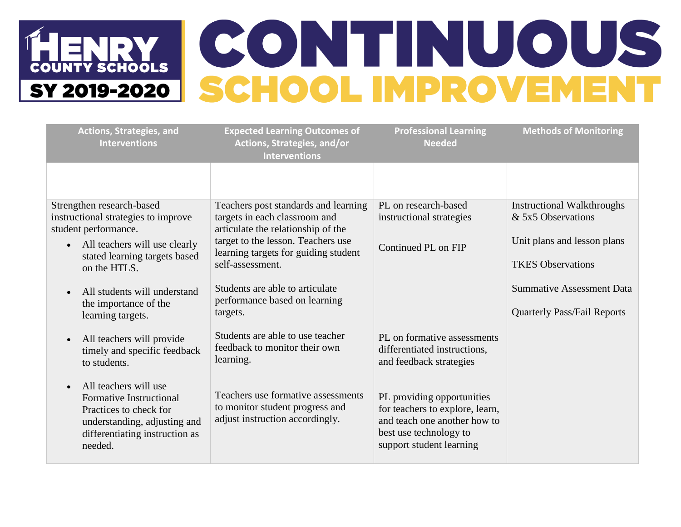# HENRY CONTINUOUS

| <b>Actions, Strategies, and</b><br><b>Interventions</b>                                                                                                        | <b>Expected Learning Outcomes of</b><br>Actions, Strategies, and/or<br><b>Interventions</b>                 | <b>Professional Learning</b><br><b>Needed</b>                                                                                                       | <b>Methods of Monitoring</b>                                           |
|----------------------------------------------------------------------------------------------------------------------------------------------------------------|-------------------------------------------------------------------------------------------------------------|-----------------------------------------------------------------------------------------------------------------------------------------------------|------------------------------------------------------------------------|
|                                                                                                                                                                |                                                                                                             |                                                                                                                                                     |                                                                        |
| Strengthen research-based<br>instructional strategies to improve<br>student performance.                                                                       | Teachers post standards and learning<br>targets in each classroom and<br>articulate the relationship of the | PL on research-based<br>instructional strategies                                                                                                    | <b>Instructional Walkthroughs</b><br>& 5x5 Observations                |
| All teachers will use clearly<br>$\bullet$<br>stated learning targets based<br>on the HTLS.                                                                    | target to the lesson. Teachers use<br>learning targets for guiding student<br>self-assessment.              | Continued PL on FIP                                                                                                                                 | Unit plans and lesson plans<br><b>TKES</b> Observations                |
| All students will understand<br>the importance of the<br>learning targets.                                                                                     | Students are able to articulate<br>performance based on learning<br>targets.                                |                                                                                                                                                     | <b>Summative Assessment Data</b><br><b>Quarterly Pass/Fail Reports</b> |
| All teachers will provide<br>timely and specific feedback<br>to students.                                                                                      | Students are able to use teacher<br>feedback to monitor their own<br>learning.                              | PL on formative assessments<br>differentiated instructions,<br>and feedback strategies                                                              |                                                                        |
| All teachers will use<br><b>Formative Instructional</b><br>Practices to check for<br>understanding, adjusting and<br>differentiating instruction as<br>needed. | Teachers use formative assessments<br>to monitor student progress and<br>adjust instruction accordingly.    | PL providing opportunities<br>for teachers to explore, learn,<br>and teach one another how to<br>best use technology to<br>support student learning |                                                                        |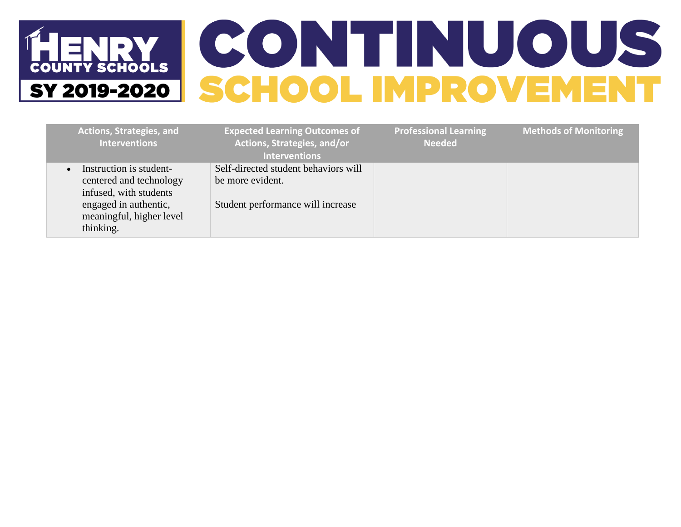| <b>Actions, Strategies, and</b><br><b>Interventions</b>                      | <b>Expected Learning Outcomes of</b><br>Actions, Strategies, and/or<br><b>Interventions</b> | <b>Professional Learning</b><br><b>Needed</b> | <b>Methods of Monitoring</b> |
|------------------------------------------------------------------------------|---------------------------------------------------------------------------------------------|-----------------------------------------------|------------------------------|
| Instruction is student-<br>centered and technology<br>infused, with students | Self-directed student behaviors will<br>be more evident.                                    |                                               |                              |
| engaged in authentic,<br>meaningful, higher level<br>thinking.               | Student performance will increase                                                           |                                               |                              |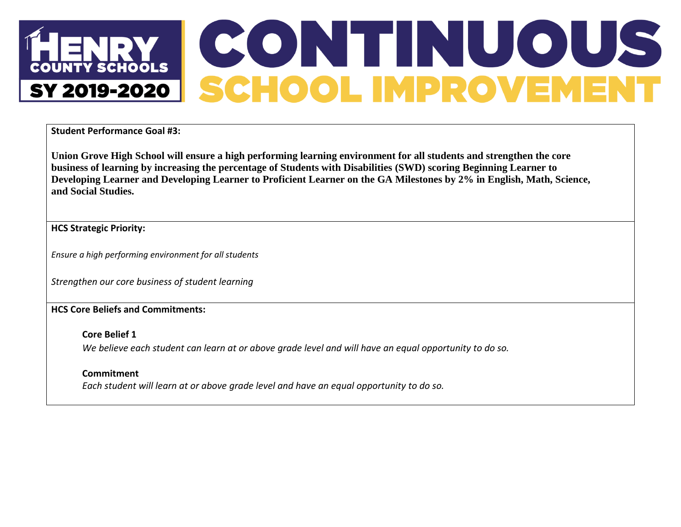## CONTINUOUS<br>SCHOOL IMPROVEMENT **NTY SCHOOLS** SY 2019-2020

**Student Performance Goal #3:**

**Union Grove High School will ensure a high performing learning environment for all students and strengthen the core business of learning by increasing the percentage of Students with Disabilities (SWD) scoring Beginning Learner to Developing Learner and Developing Learner to Proficient Learner on the GA Milestones by 2% in English, Math, Science, and Social Studies.**

**HCS Strategic Priority:**

*Ensure a high performing environment for all students*

*Strengthen our core business of student learning*

**HCS Core Beliefs and Commitments:**

**Core Belief 1**

*We believe each student can learn at or above grade level and will have an equal opportunity to do so.*

#### **Commitment**

*Each student will learn at or above grade level and have an equal opportunity to do so.*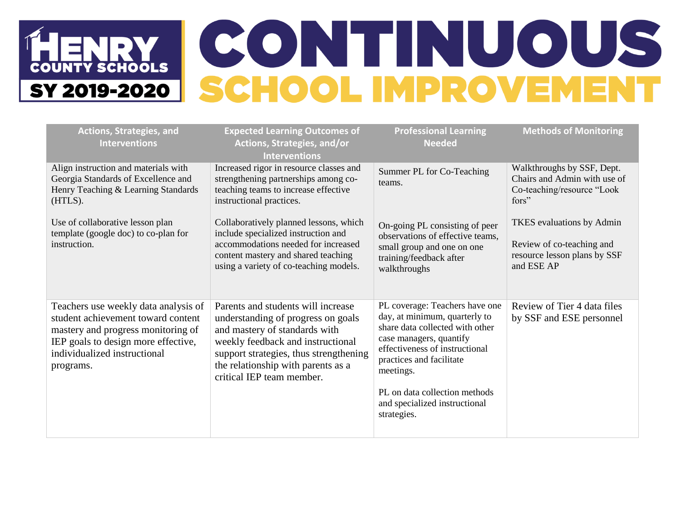## NRY CONTINUOUS<br>19-2020 SCHOOL IMPROVEMENT **COUNTY SCHOOLS** SY 2019-2020

| <b>Actions, Strategies, and</b><br><b>Interventions</b>                                                                                                                                              | <b>Expected Learning Outcomes of</b><br>Actions, Strategies, and/or<br><b>Interventions</b>                                                                                                                                                                 | <b>Professional Learning</b><br><b>Needed</b>                                                                                                                                                                                                                                             | <b>Methods of Monitoring</b>                                                                         |
|------------------------------------------------------------------------------------------------------------------------------------------------------------------------------------------------------|-------------------------------------------------------------------------------------------------------------------------------------------------------------------------------------------------------------------------------------------------------------|-------------------------------------------------------------------------------------------------------------------------------------------------------------------------------------------------------------------------------------------------------------------------------------------|------------------------------------------------------------------------------------------------------|
| Align instruction and materials with<br>Georgia Standards of Excellence and<br>Henry Teaching & Learning Standards<br>(HTLS).                                                                        | Increased rigor in resource classes and<br>strengthening partnerships among co-<br>teaching teams to increase effective<br>instructional practices.                                                                                                         | Summer PL for Co-Teaching<br>teams.                                                                                                                                                                                                                                                       | Walkthroughs by SSF, Dept.<br>Chairs and Admin with use of<br>Co-teaching/resource "Look<br>fors"    |
| Use of collaborative lesson plan<br>template (google doc) to co-plan for<br>instruction.                                                                                                             | Collaboratively planned lessons, which<br>include specialized instruction and<br>accommodations needed for increased<br>content mastery and shared teaching<br>using a variety of co-teaching models.                                                       | On-going PL consisting of peer<br>observations of effective teams,<br>small group and one on one<br>training/feedback after<br>walkthroughs                                                                                                                                               | TKES evaluations by Admin<br>Review of co-teaching and<br>resource lesson plans by SSF<br>and ESE AP |
| Teachers use weekly data analysis of<br>student achievement toward content<br>mastery and progress monitoring of<br>IEP goals to design more effective,<br>individualized instructional<br>programs. | Parents and students will increase<br>understanding of progress on goals<br>and mastery of standards with<br>weekly feedback and instructional<br>support strategies, thus strengthening<br>the relationship with parents as a<br>critical IEP team member. | PL coverage: Teachers have one<br>day, at minimum, quarterly to<br>share data collected with other<br>case managers, quantify<br>effectiveness of instructional<br>practices and facilitate<br>meetings.<br>PL on data collection methods<br>and specialized instructional<br>strategies. | Review of Tier 4 data files<br>by SSF and ESE personnel                                              |